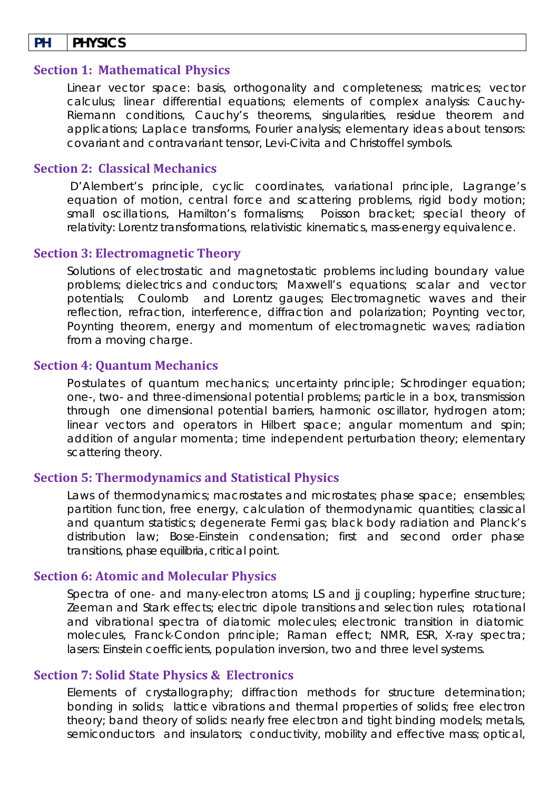# **PH PHYSICS**

#### **Section 1: Mathematical Physics**

Linear vector space: basis, orthogonality and completeness; matrices; vector calculus; linear differential equations; elements of complex analysis: Cauchy-Riemann conditions, Cauchy's theorems, singularities, residue theorem and applications; Laplace transforms, Fourier analysis; elementary ideas about tensors: covariant and contravariant tensor, Levi-Civita and Christoffel symbols.

## **Section 2: Classical Mechanics**

D'Alembert's principle, cyclic coordinates, variational principle, Lagrange's equation of motion, central force and scattering problems, rigid body motion; small oscillations, Hamilton's formalisms; Poisson bracket; special theory of relativity: Lorentz transformations, relativistic kinematics, mass-energy equivalence.

#### **Section 3: Electromagnetic Theory**

Solutions of electrostatic and magnetostatic problems including boundary value problems; dielectrics and conductors; Maxwell's equations; scalar and vector potentials; Coulomb and Lorentz gauges; Electromagnetic waves and their reflection, refraction, interference, diffraction and polarization; Poynting vector, Poynting theorem, energy and momentum of electromagnetic waves; radiation from a moving charge.

## **Section 4: Quantum Mechanics**

Postulates of quantum mechanics; uncertainty principle; Schrodinger equation; one-, two- and three-dimensional potential problems; particle in a box, transmission through one dimensional potential barriers, harmonic oscillator, hydrogen atom; linear vectors and operators in Hilbert space; angular momentum and spin; addition of angular momenta; time independent perturbation theory; elementary scattering theory.

# **Section 5: Thermodynamics and Statistical Physics**

Laws of thermodynamics; macrostates and microstates; phase space; ensembles; partition function, free energy, calculation of thermodynamic quantities; classical and quantum statistics; degenerate Fermi gas; black body radiation and Planck's distribution law; Bose-Einstein condensation; first and second order phase transitions, phase equilibria, critical point.

#### **Section 6: Atomic and Molecular Physics**

Spectra of one- and many-electron atoms; LS and ij coupling; hyperfine structure; Zeeman and Stark effects; electric dipole transitions and selection rules; rotational and vibrational spectra of diatomic molecules; electronic transition in diatomic molecules, Franck‐Condon principle; Raman effect; NMR, ESR, X-ray spectra; lasers: Einstein coefficients, population inversion, two and three level systems.

## **Section 7: Solid State Physics & Electronics**

Elements of crystallography; diffraction methods for structure determination; bonding in solids; lattice vibrations and thermal properties of solids; free electron theory; band theory of solids: nearly free electron and tight binding models; metals, semiconductors and insulators; conductivity, mobility and effective mass; optical,